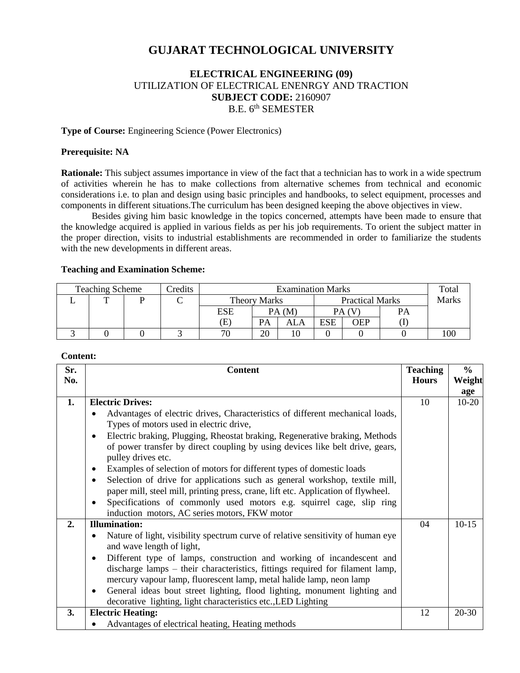# **GUJARAT TECHNOLOGICAL UNIVERSITY**

# **ELECTRICAL ENGINEERING (09)** UTILIZATION OF ELECTRICAL ENENRGY AND TRACTION **SUBJECT CODE:** 2160907 B.E. 6<sup>th</sup> SEMESTER

### **Type of Course:** Engineering Science (Power Electronics)

### **Prerequisite: NA**

**Rationale:** This subject assumes importance in view of the fact that a technician has to work in a wide spectrum of activities wherein he has to make collections from alternative schemes from technical and economic considerations i.e. to plan and design using basic principles and handbooks, to select equipment, processes and components in different situations.The curriculum has been designed keeping the above objectives in view.

Besides giving him basic knowledge in the topics concerned, attempts have been made to ensure that the knowledge acquired is applied in various fields as per his job requirements. To orient the subject matter in the proper direction, visits to industrial establishments are recommended in order to familiarize the students with the new developments in different areas.

#### **Teaching and Examination Scheme:**

| <b>Teaching Scheme</b> |   |  | <b>Predits</b> | <b>Examination Marks</b> |    |                        |            | Total        |           |  |
|------------------------|---|--|----------------|--------------------------|----|------------------------|------------|--------------|-----------|--|
|                        | ᅲ |  | ◡              | Theory Marks             |    | <b>Practical Marks</b> |            | <b>Marks</b> |           |  |
|                        |   |  |                | ESE                      |    | PA(M)                  |            | PA (V        | <b>PA</b> |  |
|                        |   |  |                | Έ.                       | PA | ALA                    | <b>ESE</b> | OEP          |           |  |
|                        |   |  |                |                          | 20 | 10                     |            |              |           |  |

#### **Content:**

| Sr. | <b>Content</b>                                                                                                                        | <b>Teaching</b> | $\frac{6}{6}$ |
|-----|---------------------------------------------------------------------------------------------------------------------------------------|-----------------|---------------|
| No. |                                                                                                                                       | <b>Hours</b>    | Weight        |
|     |                                                                                                                                       |                 | age           |
| 1.  | <b>Electric Drives:</b>                                                                                                               | 10              | $10-20$       |
|     | Advantages of electric drives, Characteristics of different mechanical loads,<br>$\bullet$<br>Types of motors used in electric drive, |                 |               |
|     | Electric braking, Plugging, Rheostat braking, Regenerative braking, Methods<br>$\bullet$                                              |                 |               |
|     | of power transfer by direct coupling by using devices like belt drive, gears,<br>pulley drives etc.                                   |                 |               |
|     | Examples of selection of motors for different types of domestic loads<br>$\bullet$                                                    |                 |               |
|     | Selection of drive for applications such as general workshop, textile mill,<br>$\bullet$                                              |                 |               |
|     | paper mill, steel mill, printing press, crane, lift etc. Application of flywheel.                                                     |                 |               |
|     | Specifications of commonly used motors e.g. squirrel cage, slip ring<br>$\bullet$                                                     |                 |               |
|     | induction motors, AC series motors, FKW motor                                                                                         |                 |               |
| 2.  | <b>Illumination:</b>                                                                                                                  | 04              | $10-15$       |
|     | Nature of light, visibility spectrum curve of relative sensitivity of human eye<br>$\bullet$<br>and wave length of light,             |                 |               |
|     | Different type of lamps, construction and working of incandescent and<br>$\bullet$                                                    |                 |               |
|     | discharge lamps – their characteristics, fittings required for filament lamp,                                                         |                 |               |
|     | mercury vapour lamp, fluorescent lamp, metal halide lamp, neon lamp                                                                   |                 |               |
|     | General ideas bout street lighting, flood lighting, monument lighting and<br>$\bullet$                                                |                 |               |
|     | decorative lighting, light characteristics etc., LED Lighting                                                                         |                 |               |
| 3.  | <b>Electric Heating:</b>                                                                                                              | 12              | $20 - 30$     |
|     | Advantages of electrical heating, Heating methods                                                                                     |                 |               |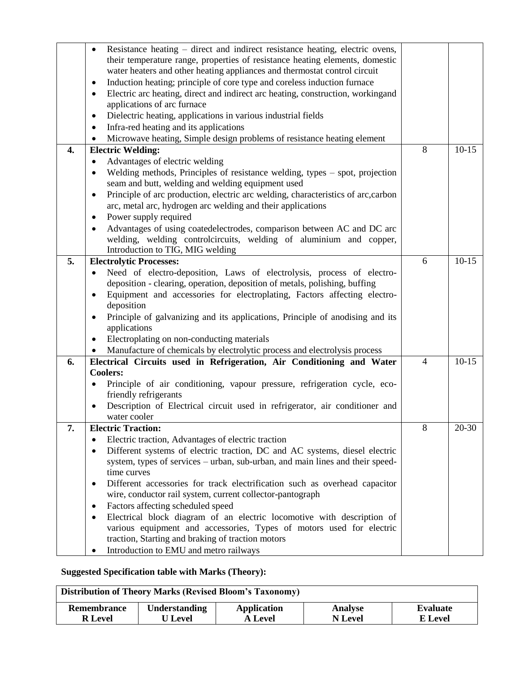|                  | Resistance heating – direct and indirect resistance heating, electric ovens,                   |                |           |  |  |  |
|------------------|------------------------------------------------------------------------------------------------|----------------|-----------|--|--|--|
|                  | their temperature range, properties of resistance heating elements, domestic                   |                |           |  |  |  |
|                  | water heaters and other heating appliances and thermostat control circuit                      |                |           |  |  |  |
|                  | Induction heating; principle of core type and coreless induction furnace<br>$\bullet$          |                |           |  |  |  |
|                  | Electric arc heating, direct and indirect arc heating, construction, workingand<br>$\bullet$   |                |           |  |  |  |
|                  | applications of arc furnace                                                                    |                |           |  |  |  |
|                  | Dielectric heating, applications in various industrial fields<br>٠                             |                |           |  |  |  |
|                  | Infra-red heating and its applications<br>$\bullet$                                            |                |           |  |  |  |
|                  | Microwave heating, Simple design problems of resistance heating element<br>$\bullet$           |                |           |  |  |  |
| $\overline{4}$ . | <b>Electric Welding:</b>                                                                       | 8              | $10-15$   |  |  |  |
|                  | Advantages of electric welding                                                                 |                |           |  |  |  |
|                  | Welding methods, Principles of resistance welding, types - spot, projection                    |                |           |  |  |  |
|                  | seam and butt, welding and welding equipment used                                              |                |           |  |  |  |
|                  | Principle of arc production, electric arc welding, characteristics of arc, carbon<br>$\bullet$ |                |           |  |  |  |
|                  | arc, metal arc, hydrogen arc welding and their applications                                    |                |           |  |  |  |
|                  | Power supply required                                                                          |                |           |  |  |  |
|                  | Advantages of using coatedelectrodes, comparison between AC and DC arc                         |                |           |  |  |  |
|                  | welding, welding controlcircuits, welding of aluminium and copper,                             |                |           |  |  |  |
|                  | Introduction to TIG, MIG welding                                                               |                |           |  |  |  |
| 5.               | <b>Electrolytic Processes:</b>                                                                 | 6              | $10-15$   |  |  |  |
|                  | Need of electro-deposition, Laws of electrolysis, process of electro-                          |                |           |  |  |  |
|                  | deposition - clearing, operation, deposition of metals, polishing, buffing                     |                |           |  |  |  |
|                  | Equipment and accessories for electroplating, Factors affecting electro-                       |                |           |  |  |  |
|                  | deposition                                                                                     |                |           |  |  |  |
|                  |                                                                                                |                |           |  |  |  |
|                  | Principle of galvanizing and its applications, Principle of anodising and its<br>$\bullet$     |                |           |  |  |  |
|                  | applications                                                                                   |                |           |  |  |  |
|                  | Electroplating on non-conducting materials<br>$\bullet$                                        |                |           |  |  |  |
|                  | Manufacture of chemicals by electrolytic process and electrolysis process                      |                |           |  |  |  |
| 6.               | Electrical Circuits used in Refrigeration, Air Conditioning and Water                          | $\overline{4}$ | $10-15$   |  |  |  |
|                  | <b>Coolers:</b>                                                                                |                |           |  |  |  |
|                  | Principle of air conditioning, vapour pressure, refrigeration cycle, eco-<br>$\bullet$         |                |           |  |  |  |
|                  | friendly refrigerants                                                                          |                |           |  |  |  |
|                  | Description of Electrical circuit used in refrigerator, air conditioner and                    |                |           |  |  |  |
|                  | water cooler                                                                                   |                |           |  |  |  |
| 7.               | <b>Electric Traction:</b>                                                                      | 8              | $20 - 30$ |  |  |  |
|                  | Electric traction, Advantages of electric traction<br>٠                                        |                |           |  |  |  |
|                  | Different systems of electric traction, DC and AC systems, diesel electric<br>٠                |                |           |  |  |  |
|                  | system, types of services – urban, sub-urban, and main lines and their speed-                  |                |           |  |  |  |
|                  | time curves                                                                                    |                |           |  |  |  |
|                  | Different accessories for track electrification such as overhead capacitor<br>٠                |                |           |  |  |  |
|                  | wire, conductor rail system, current collector-pantograph                                      |                |           |  |  |  |
|                  | Factors affecting scheduled speed<br>٠                                                         |                |           |  |  |  |
|                  | Electrical block diagram of an electric locomotive with description of<br>$\bullet$            |                |           |  |  |  |
|                  | various equipment and accessories, Types of motors used for electric                           |                |           |  |  |  |
|                  | traction, Starting and braking of traction motors                                              |                |           |  |  |  |
|                  | Introduction to EMU and metro railways                                                         |                |           |  |  |  |

# **Suggested Specification table with Marks (Theory):**

| <b>Distribution of Theory Marks (Revised Bloom's Taxonomy)</b> |                      |                    |                |          |  |  |  |
|----------------------------------------------------------------|----------------------|--------------------|----------------|----------|--|--|--|
| Remembrance                                                    | <b>Understanding</b> | <b>Application</b> | <b>Analyse</b> | Evaluate |  |  |  |
| <b>R</b> Level                                                 | U Level              | <b>A Level</b>     | <b>N</b> Level | E Level  |  |  |  |